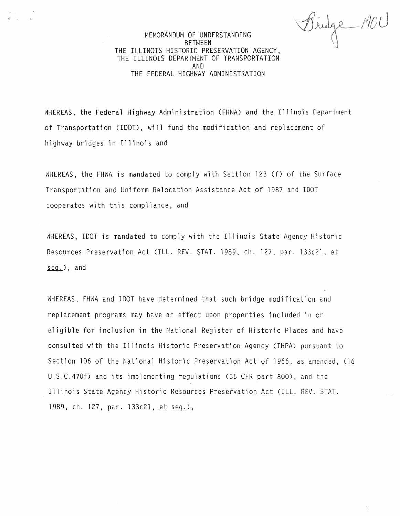Bridge MOU

# MEMORANDUM OF UNDERSTANDING BETWEEN THE ILLINOIS HISTORIC PRESERVATION AGENCY, THE ILLINOIS DEPARTMENT OF TRANSPORTATION AND THE FEDERAL HIGHWAY ADMINISTRATION

WHEREAS, the Federal Highway Administration (FHWA) and the Illinois Department of Transportation (IDOT), will fund the modification and replacement of highway bridges in Illinois and

WHEREAS, the FHWA is mandated to comply with Section 123 (f) of the Surface Transportation and Uniform Relocation Assistance Act of 1987 and IDOT cooperates with this compliance, and

WHEREAS, IDOT is mandated to comply with the Illinois State Agency Historic Resources Preservation Act (ILL. REV. STAT. 1989, ch. 127, par. 133c21, et  $seq.$ ), and

WHEREAS, FHWA and IDOT have determined that such bridge modification and replacement programs may have an effect upon properties included in or eligible for inclusion in the National Register of Historic Places and have consulted with the Illinois Historic Preservation Agency (IHPA) pursuant to Section 106 of the National Historic Preservation Act of 1966, as amended, (16 U.S.C.470f) and its implementing regulations (36 CFR part 800), and the Illinois State Agency Historic Resources Preservation Act (ILL. REV. STAT. 1989, ch. 127, par. 133c21, et seg.),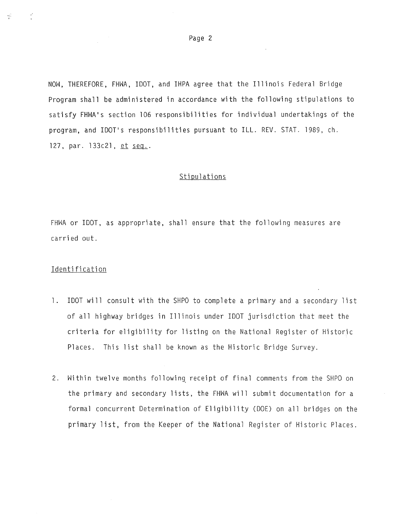NOW, THEREFORE, FHWA, IDOT, and IHPA agree that the Illinois Federal Bridge Program shall be administered in accordance with the following stipulations to satisfy FHWA's section 106 responsibilities for individual undertakings of the program, and IDOT's responsibilities pursuant to ILL. REV. STAT. 1989, ch. 127, par. 133c21, et seq..

## **Stipulations**

FHWA or IDOT, as appropriate, shall ensure that the following measures are carried out.

## **Identification**

- l. !DOT will consult with the SHPO to complete a primary and a secondary list of all highway bridges in Illinois under IDOT jurisdiction that meet the criteria for eligibility for listing on the National Register of Historic Places. This list shall be known as the Historic Bridge Survey.
- 2. Within twelve months following receipt of final comments from the SHPO on the primary and secondary lists, the FHWA will submit documentation for a formal concurrent Determination of Eligibility (DOE) on all bridges on the primary list, from the Keeper of the National Register of Historic Places.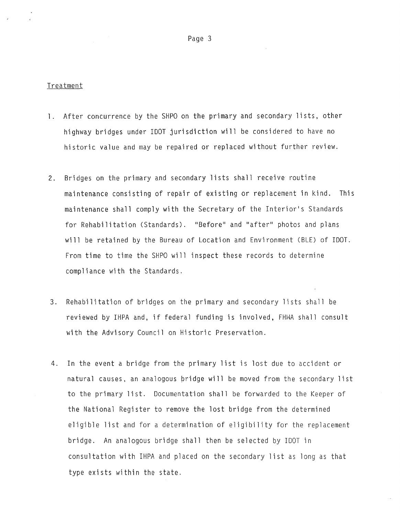### Treatment

- 1. After concurrence by the SHPO on the primary and secondary lists, other highway bridges under IDOT jurisdiction will be considered to have no historic value and may be repaired or replaced without further review.
- 2. Bridges on the primary and secondary lists shall receive routine maintenance consisting of repair of existing or replacement in kind. This maintenance shall comply with the Secretary of the Interior's Standards for Rehabilitation (Standards). "Before" and "after" photos and plans will be retained by the Bureau of Location and Environment (BLE) of IDOT. From time to time the SHPO will inspect these records to determine compliance with the Standards.
- 3. Rehabilitation of bridges on the primary and secondary lists shall be reviewed by IHPA and, if federal funding is involved, FHNA shall consult with the Advisory Council on Historic Preservation.
- 4. In the event a bridge from the primary list is lost due to accident or natural causes, an analogous pridge will be moved from the secondary list to the primary list. Documentation shall be forwarded to the Keeper of the National Register to remove the lost bridge from the determined eligible list and for a determination of eligibility for the replacement bridge. An analogous bridge shall then be selected by IDOT in consultation with IHPA and placed on the secondary list as long as that type exists within the state.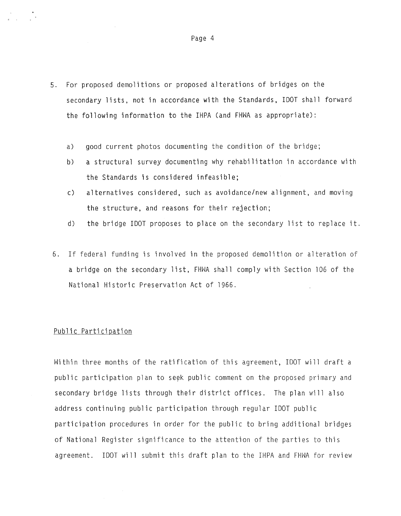- 5. For proposed demolitions or proposed alterations of bridges on the secondary lists, not in accordance with the Standards, IDOT shall forward the following information to the IHPA (and FHWA as appropriate):
	- a) good current photos documenting the condition of the bridge;
	- b) a structural survey documenting why rehabilitation in accordance with the Standards is considered infeasible;
	- c) alternatives considered, such as avoidance/new alignment, and moving the structure, and reasons for their rejection;
	- d) the bridge IDOT proposes to place on the secondary list to replace it.
- 6. If federal funding is involved in the proposed demolition or alteration of a bridge on the secondary list, FHWA shall comply with Section 106 of the National Historic Preservation Act of 1966.

### Public Participation

Within three months of the ratification of this agreement, IDOT will draft a public participation plan to seek public comment on the proposed primary and secondary bridge lists through their district offices. The plan will also address continuing public participation through regular IDOT public participation procedures in order for the public to bring additional bridges of National Register significance to the attention of the parties to this agreement. IDOT will submit this draft plan to the IHPA and FHWA for review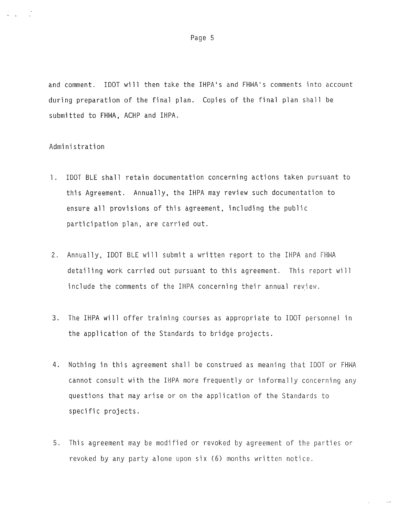and comment. IDOT will then take the IHPA's and FHWA's comments into account during preparation of the final plan. Copies of the final plan shall be submitted to FHWA, ACHP and IHPA.

#### Administration

- l. IDOT BLE shall retain documentation concerning actions taken pursuant to this Agreement. Annually, the IHPA may review such documentation to ensure all provisions of this agreement, including the public participation plan, are carried out.
- 2. Annually, IDOT BLE will submit a written report to the IHPA and FHWA detailing work carried out pursuant to this agreement. This report will include the comments of the IHPA concerning their annual review.
- 3. The IHPA will offer training courses as appropriate to IDOT personnel in the application of the Standards to bridge projects.
- 4. Nothing in this agreement shall be construed as meaning that IDOT or FHWA cannot consult with the IHPA more frequently or informally concerning any questions that may arise or on the application of the Standards to specific projects.
- 5. This agreement may be modified or revoked by agreement of the parties or revoked by any party alone upon six (6) months written notice.